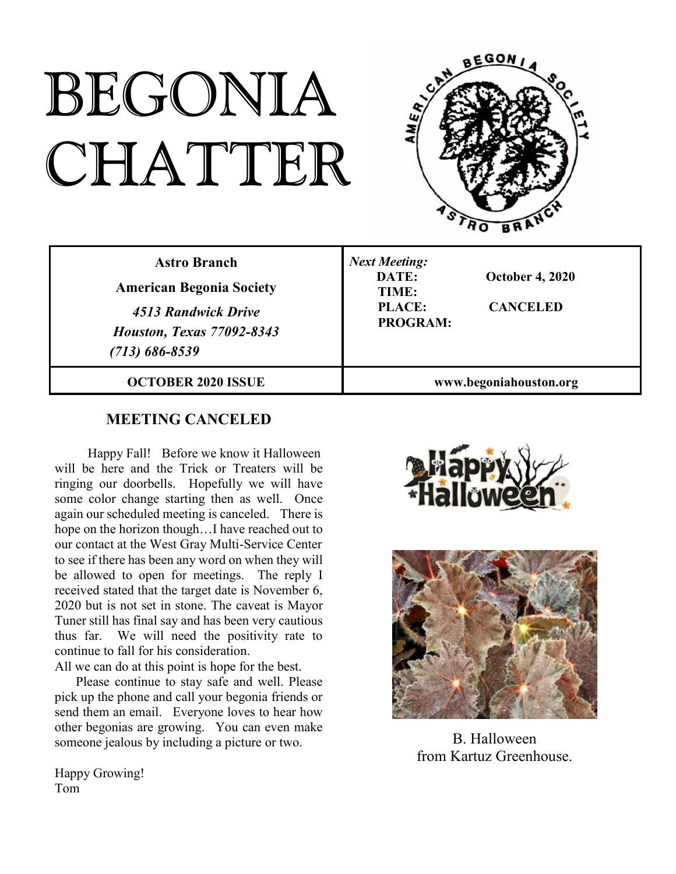# BEGONIA CHATTER



| <b>Astro Branch</b><br><b>American Begonia Society</b><br>4513 Randwick Drive<br><b>Houston, Texas 77092-8343</b><br>$(713) 686 - 8539$ | <b>Next Meeting:</b><br>DATE:<br><b>October 4, 2020</b><br>TIME:<br><b>PLACE:</b><br><b>CANCELED</b><br><b>PROGRAM:</b> |
|-----------------------------------------------------------------------------------------------------------------------------------------|-------------------------------------------------------------------------------------------------------------------------|
| <b>OCTOBER 2020 ISSUE</b>                                                                                                               | www.begoniahouston.org                                                                                                  |

## **MEETING CANCELED**

Happy Fall! Before we know it Halloween will be here and the Trick or Treaters will be ringing our doorbells. Hopefully we will have some color change starting then as well. Once again our scheduled meeting is canceled. There is hope on the horizon though…I have reached out to our contact at the West Gray Multi-Service Center to see if there has been any word on when they will be allowed to open for meetings. The reply I received stated that the target date is November 6, 2020 but is not set in stone. The caveat is Mayor Tuner still has final say and has been very cautious thus far. We will need the positivity rate to continue to fall for his consideration.

All we can do at this point is hope for the best.

Please continue to stay safe and well. Please pick up the phone and call your begonia friends or send them an email. Everyone loves to hear how other begonias are growing. You can even make someone jealous by including a picture or two.

Happy Growing! Tom





B. Halloween from Kartuz Greenhouse.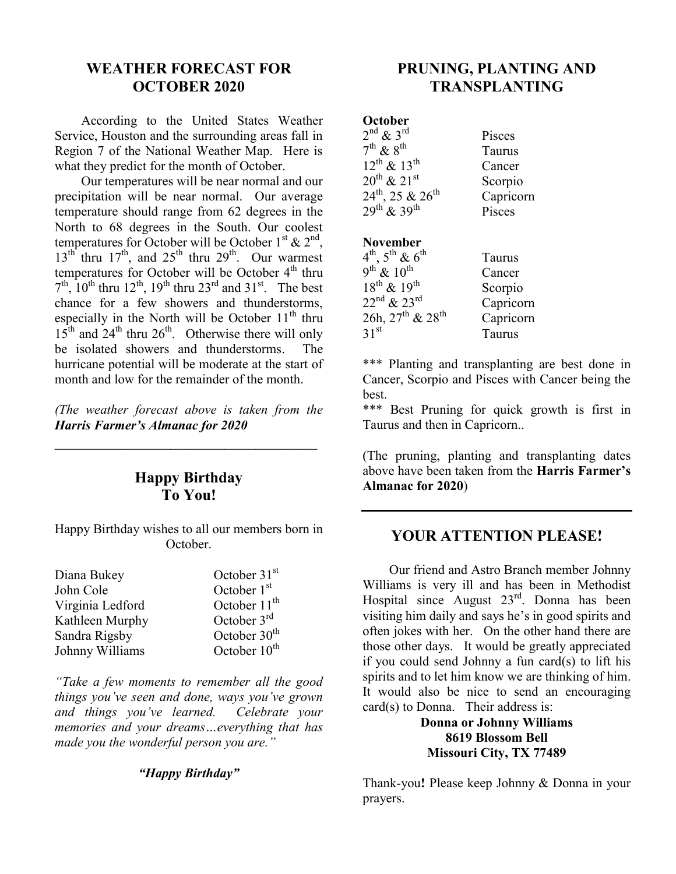## **WEATHER FORECAST FOR OCTOBER 2020**

According to the United States Weather Service, Houston and the surrounding areas fall in Region 7 of the National Weather Map. Here is what they predict for the month of October.

Our temperatures will be near normal and our precipitation will be near normal. Our average temperature should range from 62 degrees in the North to 68 degrees in the South. Our coolest temperatures for October will be October  $1^{st}$  &  $2^{nd}$ ,  $13^{th}$  thru  $17^{th}$ , and  $25^{th}$  thru  $29^{th}$ . Our warmest temperatures for October will be October  $4<sup>th</sup>$  thru  $7<sup>th</sup>$ ,  $10<sup>th</sup>$  thru  $12<sup>th</sup>$ ,  $19<sup>th</sup>$  thru  $23<sup>rd</sup>$  and  $31<sup>st</sup>$ . The best chance for a few showers and thunderstorms, especially in the North will be October  $11<sup>th</sup>$  thru  $15<sup>th</sup>$  and  $24<sup>th</sup>$  thru  $26<sup>th</sup>$ . Otherwise there will only be isolated showers and thunderstorms. The hurricane potential will be moderate at the start of month and low for the remainder of the month.

*(The weather forecast above is taken from the Harris Farmer's Almanac for 2020*

*\_\_\_\_\_\_\_\_\_\_\_\_\_\_\_\_\_\_\_\_\_\_\_\_\_\_\_\_\_\_\_\_\_\_*

## **Happy Birthday To You!**

Happy Birthday wishes to all our members born in October.

| Diana Bukey      | October $31st$    |
|------------------|-------------------|
| John Cole        | October $1st$     |
| Virginia Ledford | October $11^{th}$ |
| Kathleen Murphy  | October $3rd$     |
| Sandra Rigsby    | October $30th$    |
| Johnny Williams  | October $10^{th}$ |

*"Take a few moments to remember all the good things you've seen and done, ways you've grown and things you've learned. Celebrate your memories and your dreams…everything that has made you the wonderful person you are."*

#### *"Happy Birthday"*

# **PRUNING, PLANTING AND TRANSPLANTING**

| October                           |           |
|-----------------------------------|-----------|
| $2^{nd}$ & $3^{rd}$               | Pisces    |
| $7^{\text{th}}$ & $8^{\text{th}}$ | Taurus    |
| $12^{th}$ & $13^{th}$             | Cancer    |
| $20^{th}$ & $21^{st}$             | Scorpio   |
| $24^{th}$ , 25 & $26^{th}$        | Capricorn |
| $29^{th}$ & $39^{th}$             | Pisces    |
|                                   |           |

#### **November**

| $4^{\text{th}}$ , $5^{\text{th}}$ & $6^{\text{th}}$ | Taurus    |
|-----------------------------------------------------|-----------|
| $9^{\text{th}'}$ & $10^{\text{th}}$                 | Cancer    |
| $18^{th}$ & $19^{th}$                               | Scorpio   |
| $22^{\text{nd}}$ & $23^{\text{rd}}$                 | Capricorn |
| $26h, 27th$ & $28th$                                | Capricorn |
| 31 <sup>st</sup>                                    | Taurus    |

\*\*\* Planting and transplanting are best done in Cancer, Scorpio and Pisces with Cancer being the best.

\*\*\* Best Pruning for quick growth is first in Taurus and then in Capricorn..

(The pruning, planting and transplanting dates above have been taken from the **Harris Farmer's Almanac for 2020**)

## **YOUR ATTENTION PLEASE!**

Our friend and Astro Branch member Johnny Williams is very ill and has been in Methodist Hospital since August 23rd. Donna has been visiting him daily and says he's in good spirits and often jokes with her. On the other hand there are those other days. It would be greatly appreciated if you could send Johnny a fun card(s) to lift his spirits and to let him know we are thinking of him. It would also be nice to send an encouraging card(s) to Donna. Their address is:

> **Donna or Johnny Williams 8619 Blossom Bell Missouri City, TX 77489**

Thank-you**!** Please keep Johnny & Donna in your prayers.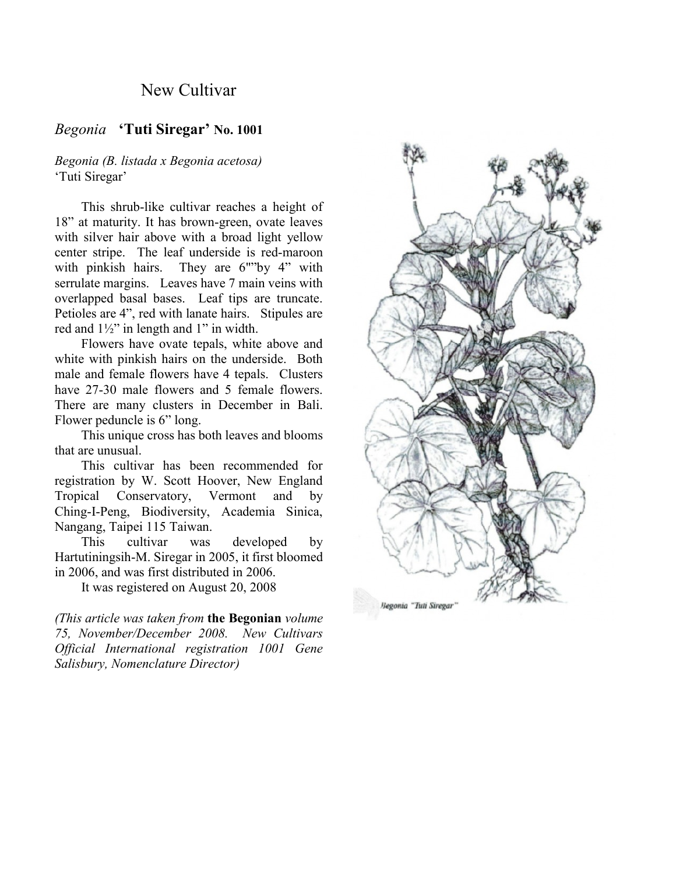## New Cultivar

### *Begonia* **'Tuti Siregar' No. 1001**

#### *Begonia (B. listada x Begonia acetosa)* 'Tuti Siregar'

This shrub-like cultivar reaches a height of 18" at maturity. It has brown-green, ovate leaves with silver hair above with a broad light yellow center stripe. The leaf underside is red-maroon with pinkish hairs. They are 6""by 4" with serrulate margins. Leaves have 7 main veins with overlapped basal bases. Leaf tips are truncate. Petioles are 4", red with lanate hairs. Stipules are red and 1½" in length and 1" in width.

Flowers have ovate tepals, white above and white with pinkish hairs on the underside. Both male and female flowers have 4 tepals. Clusters have 27-30 male flowers and 5 female flowers. There are many clusters in December in Bali. Flower peduncle is 6" long.

This unique cross has both leaves and blooms that are unusual.

This cultivar has been recommended for registration by W. Scott Hoover, New England Tropical Conservatory, Vermont and by Ching-I-Peng, Biodiversity, Academia Sinica, Nangang, Taipei 115 Taiwan.

This cultivar was developed by Hartutiningsih-M. Siregar in 2005, it first bloomed in 2006, and was first distributed in 2006.

It was registered on August 20, 2008

*(This article was taken from* **the Begonian** *volume 75, November/December 2008. New Cultivars Official International registration 1001 Gene Salisbury, Nomenclature Director)*